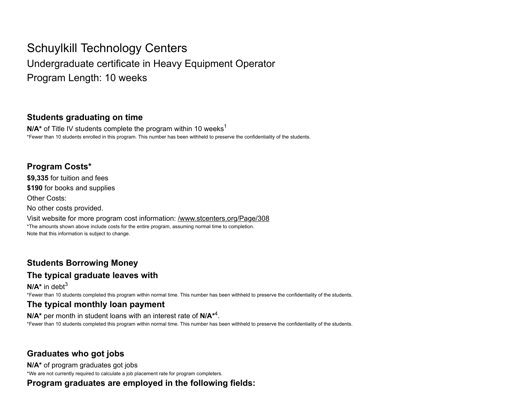# Schuylkill Technology Centers

Undergraduate certificate in Heavy Equipment Operator Program Length: 10 weeks

#### Students graduating on time

**N/A**\* of Title IV students complete the program within 10 weeks<sup>1</sup> \*Fewer than 10 students enrolled in this program. This number has been withheld to preserve the confidentiality of the students.

#### Program Costs\*

\$9,335 for tuition and fees

\$190 for books and supplies

Other Costs:

No other costs provided.

Visit website for more program cost information: /www.stcenters.org/Page/308 \*The amounts shown above include costs for the entire program, assuming normal time to completion. Note that this information is subject to change.

## Students Borrowing Money

## The typical graduate leaves with

 $N/A^*$  in debt<sup>3</sup> \*Fewer than 10 students completed this program within normal time. This number has been withheld to preserve the confidentiality of the students.

## The typical monthly loan payment

 $N/A^*$  per month in student loans with an interest rate of  $N/A^{*4}$ . \*Fewer than 10 students completed this program within normal time. This number has been withheld to preserve the confidentiality of the students.

### Graduates who got jobs

N/A\* of program graduates got jobs \*We are not currently required to calculate a job placement rate for program completers.

Program graduates are employed in the following fields: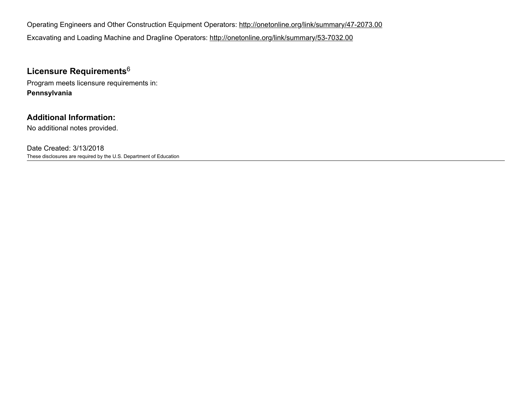Operating Engineers and Other Construction Equipment Operators: http://onetonline.org/link/summary/47-2073.00 Excavating and Loading Machine and Dragline Operators: http://onetonline.org/link/summary/53-7032.00

### Licensure Requirements $^6$

Program meets licensure requirements in: Pennsylvania

#### Additional Information:

No additional notes provided.

Date Created: 3/13/2018 These disclosures are required by the U.S. Department of Education